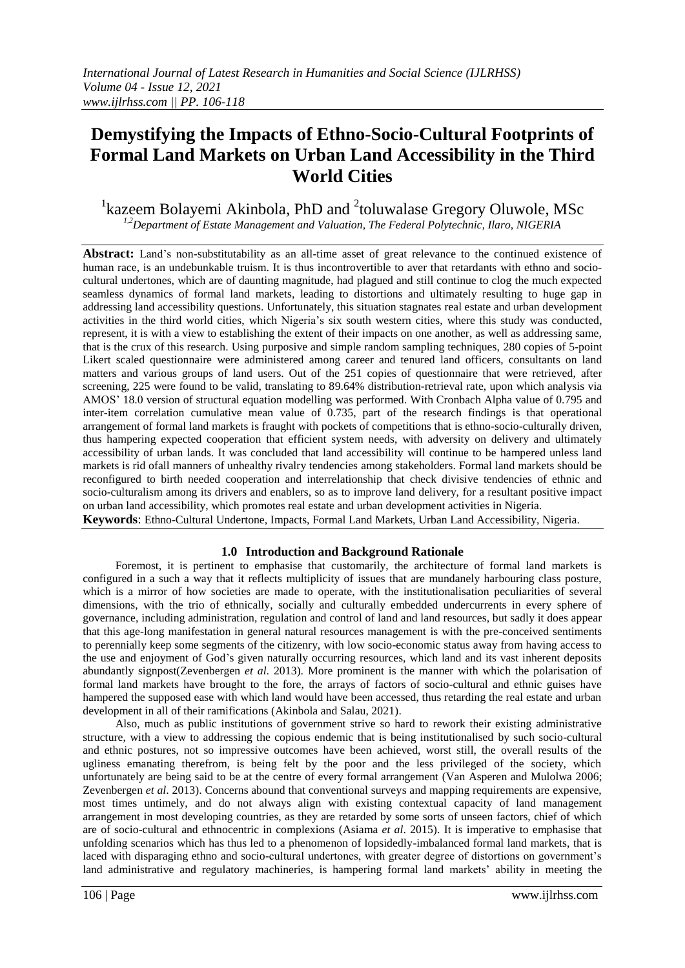# **Demystifying the Impacts of Ethno-Socio-Cultural Footprints of Formal Land Markets on Urban Land Accessibility in the Third World Cities**

## <sup>1</sup> kazeem Bolayemi Akinbola, PhD and <sup>2</sup> toluwalase Gregory Oluwole, MSc *1,2Department of Estate Management and Valuation, The Federal Polytechnic, Ilaro, NIGERIA*

**Abstract:** Land's non-substitutability as an all-time asset of great relevance to the continued existence of human race, is an undebunkable truism. It is thus incontrovertible to aver that retardants with ethno and sociocultural undertones, which are of daunting magnitude, had plagued and still continue to clog the much expected seamless dynamics of formal land markets, leading to distortions and ultimately resulting to huge gap in addressing land accessibility questions. Unfortunately, this situation stagnates real estate and urban development activities in the third world cities, which Nigeria's six south western cities, where this study was conducted, represent, it is with a view to establishing the extent of their impacts on one another, as well as addressing same, that is the crux of this research. Using purposive and simple random sampling techniques, 280 copies of 5-point Likert scaled questionnaire were administered among career and tenured land officers, consultants on land matters and various groups of land users. Out of the 251 copies of questionnaire that were retrieved, after screening, 225 were found to be valid, translating to 89.64% distribution-retrieval rate, upon which analysis via AMOS' 18.0 version of structural equation modelling was performed. With Cronbach Alpha value of 0.795 and inter-item correlation cumulative mean value of 0.735, part of the research findings is that operational arrangement of formal land markets is fraught with pockets of competitions that is ethno-socio-culturally driven, thus hampering expected cooperation that efficient system needs, with adversity on delivery and ultimately accessibility of urban lands. It was concluded that land accessibility will continue to be hampered unless land markets is rid ofall manners of unhealthy rivalry tendencies among stakeholders. Formal land markets should be reconfigured to birth needed cooperation and interrelationship that check divisive tendencies of ethnic and socio-culturalism among its drivers and enablers, so as to improve land delivery, for a resultant positive impact on urban land accessibility, which promotes real estate and urban development activities in Nigeria. **Keywords**: Ethno-Cultural Undertone, Impacts, Formal Land Markets, Urban Land Accessibility, Nigeria.

## **1.0 Introduction and Background Rationale**

Foremost, it is pertinent to emphasise that customarily, the architecture of formal land markets is configured in a such a way that it reflects multiplicity of issues that are mundanely harbouring class posture, which is a mirror of how societies are made to operate, with the institutionalisation peculiarities of several dimensions, with the trio of ethnically, socially and culturally embedded undercurrents in every sphere of governance, including administration, regulation and control of land and land resources, but sadly it does appear that this age-long manifestation in general natural resources management is with the pre-conceived sentiments to perennially keep some segments of the citizenry, with low socio-economic status away from having access to the use and enjoyment of God's given naturally occurring resources, which land and its vast inherent deposits abundantly signpost(Zevenbergen *et al*. 2013). More prominent is the manner with which the polarisation of formal land markets have brought to the fore, the arrays of factors of socio-cultural and ethnic guises have hampered the supposed ease with which land would have been accessed, thus retarding the real estate and urban development in all of their ramifications (Akinbola and Salau, 2021).

Also, much as public institutions of government strive so hard to rework their existing administrative structure, with a view to addressing the copious endemic that is being institutionalised by such socio-cultural and ethnic postures, not so impressive outcomes have been achieved, worst still, the overall results of the ugliness emanating therefrom, is being felt by the poor and the less privileged of the society, which unfortunately are being said to be at the centre of every formal arrangement (Van Asperen and Mulolwa 2006; Zevenbergen *et al*. 2013). Concerns abound that conventional surveys and mapping requirements are expensive, most times untimely, and do not always align with existing contextual capacity of land management arrangement in most developing countries, as they are retarded by some sorts of unseen factors, chief of which are of socio-cultural and ethnocentric in complexions (Asiama *et al*. 2015). It is imperative to emphasise that unfolding scenarios which has thus led to a phenomenon of lopsidedly-imbalanced formal land markets, that is laced with disparaging ethno and socio-cultural undertones, with greater degree of distortions on government's land administrative and regulatory machineries, is hampering formal land markets' ability in meeting the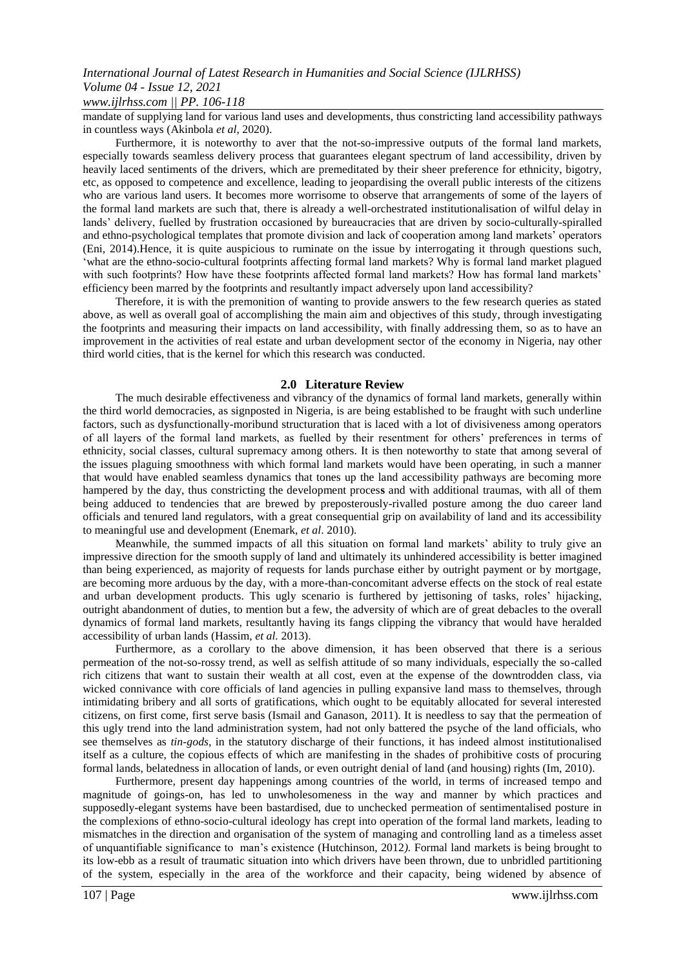*www.ijlrhss.com || PP. 106-118*

mandate of supplying land for various land uses and developments, thus constricting land accessibility pathways in countless ways (Akinbola *et al*, 2020).

Furthermore, it is noteworthy to aver that the not-so-impressive outputs of the formal land markets, especially towards seamless delivery process that guarantees elegant spectrum of land accessibility, driven by heavily laced sentiments of the drivers, which are premeditated by their sheer preference for ethnicity, bigotry, etc, as opposed to competence and excellence, leading to jeopardising the overall public interests of the citizens who are various land users. It becomes more worrisome to observe that arrangements of some of the layers of the formal land markets are such that, there is already a well-orchestrated institutionalisation of wilful delay in lands' delivery, fuelled by frustration occasioned by bureaucracies that are driven by socio-culturally-spiralled and ethno-psychological templates that promote division and lack of cooperation among land markets' operators (Eni, 2014).Hence, it is quite auspicious to ruminate on the issue by interrogating it through questions such, 'what are the ethno-socio-cultural footprints affecting formal land markets? Why is formal land market plagued with such footprints? How have these footprints affected formal land markets? How has formal land markets' efficiency been marred by the footprints and resultantly impact adversely upon land accessibility?

Therefore, it is with the premonition of wanting to provide answers to the few research queries as stated above, as well as overall goal of accomplishing the main aim and objectives of this study, through investigating the footprints and measuring their impacts on land accessibility, with finally addressing them, so as to have an improvement in the activities of real estate and urban development sector of the economy in Nigeria, nay other third world cities, that is the kernel for which this research was conducted.

#### **2.0 Literature Review**

The much desirable effectiveness and vibrancy of the dynamics of formal land markets, generally within the third world democracies, as signposted in Nigeria, is are being established to be fraught with such underline factors, such as dysfunctionally-moribund structuration that is laced with a lot of divisiveness among operators of all layers of the formal land markets, as fuelled by their resentment for others' preferences in terms of ethnicity, social classes, cultural supremacy among others. It is then noteworthy to state that among several of the issues plaguing smoothness with which formal land markets would have been operating, in such a manner that would have enabled seamless dynamics that tones up the land accessibility pathways are becoming more hampered by the day, thus constricting the development proces**s** and with additional traumas, with all of them being adduced to tendencies that are brewed by preposterously-rivalled posture among the duo career land officials and tenured land regulators, with a great consequential grip on availability of land and its accessibility to meaningful use and development (Enemark, *et al*. 2010).

Meanwhile, the summed impacts of all this situation on formal land markets' ability to truly give an impressive direction for the smooth supply of land and ultimately its unhindered accessibility is better imagined than being experienced, as majority of requests for lands purchase either by outright payment or by mortgage, are becoming more arduous by the day, with a more-than-concomitant adverse effects on the stock of real estate and urban development products. This ugly scenario is furthered by jettisoning of tasks, roles' hijacking, outright abandonment of duties, to mention but a few, the adversity of which are of great debacles to the overall dynamics of formal land markets, resultantly having its fangs clipping the vibrancy that would have heralded accessibility of urban lands (Hassim, *et al.* 2013).

Furthermore, as a corollary to the above dimension, it has been observed that there is a serious permeation of the not-so-rossy trend, as well as selfish attitude of so many individuals, especially the so-called rich citizens that want to sustain their wealth at all cost, even at the expense of the downtrodden class, via wicked connivance with core officials of land agencies in pulling expansive land mass to themselves, through intimidating bribery and all sorts of gratifications, which ought to be equitably allocated for several interested citizens, on first come, first serve basis (Ismail and Ganason, 2011). It is needless to say that the permeation of this ugly trend into the land administration system, had not only battered the psyche of the land officials, who see themselves as *tin-gods*, in the statutory discharge of their functions, it has indeed almost institutionalised itself as a culture, the copious effects of which are manifesting in the shades of prohibitive costs of procuring formal lands, belatedness in allocation of lands, or even outright denial of land (and housing) rights (Im, 2010).

Furthermore, present day happenings among countries of the world, in terms of increased tempo and magnitude of goings-on, has led to unwholesomeness in the way and manner by which practices and supposedly-elegant systems have been bastardised, due to unchecked permeation of sentimentalised posture in the complexions of ethno-socio-cultural ideology has crept into operation of the formal land markets, leading to mismatches in the direction and organisation of the system of managing and controlling land as a timeless asset of unquantifiable significance to man's existence (Hutchinson, 2012*).* Formal land markets is being brought to its low-ebb as a result of traumatic situation into which drivers have been thrown, due to unbridled partitioning of the system, especially in the area of the workforce and their capacity, being widened by absence of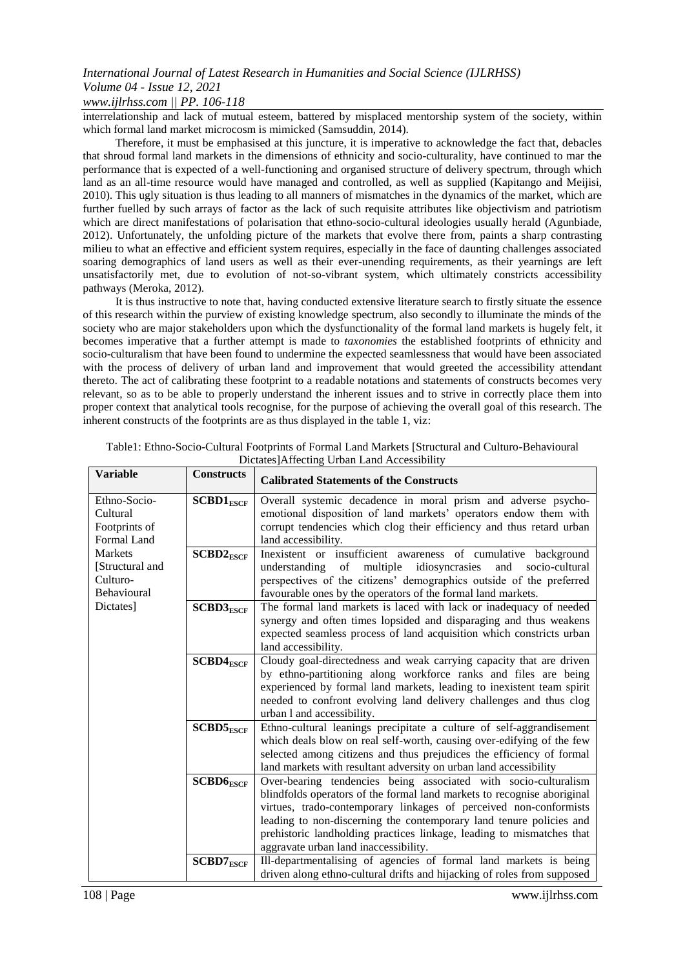#### *www.ijlrhss.com || PP. 106-118*

interrelationship and lack of mutual esteem, battered by misplaced mentorship system of the society, within which formal land market microcosm is mimicked (Samsuddin, 2014).

Therefore, it must be emphasised at this juncture, it is imperative to acknowledge the fact that, debacles that shroud formal land markets in the dimensions of ethnicity and socio-culturality, have continued to mar the performance that is expected of a well-functioning and organised structure of delivery spectrum, through which land as an all-time resource would have managed and controlled, as well as supplied (Kapitango and Meijisi, 2010). This ugly situation is thus leading to all manners of mismatches in the dynamics of the market, which are further fuelled by such arrays of factor as the lack of such requisite attributes like objectivism and patriotism which are direct manifestations of polarisation that ethno-socio-cultural ideologies usually herald (Agunbiade, 2012). Unfortunately, the unfolding picture of the markets that evolve there from, paints a sharp contrasting milieu to what an effective and efficient system requires, especially in the face of daunting challenges associated soaring demographics of land users as well as their ever-unending requirements, as their yearnings are left unsatisfactorily met, due to evolution of not-so-vibrant system, which ultimately constricts accessibility pathways (Meroka, 2012).

It is thus instructive to note that, having conducted extensive literature search to firstly situate the essence of this research within the purview of existing knowledge spectrum, also secondly to illuminate the minds of the society who are major stakeholders upon which the dysfunctionality of the formal land markets is hugely felt, it becomes imperative that a further attempt is made to *taxonomies* the established footprints of ethnicity and socio-culturalism that have been found to undermine the expected seamlessness that would have been associated with the process of delivery of urban land and improvement that would greeted the accessibility attendant thereto. The act of calibrating these footprint to a readable notations and statements of constructs becomes very relevant, so as to be able to properly understand the inherent issues and to strive in correctly place them into proper context that analytical tools recognise, for the purpose of achieving the overall goal of this research. The inherent constructs of the footprints are as thus displayed in the table 1, viz:

| Dictates perfecting Croan Land Precessionity |                   |                                                                         |  |  |  |  |  |  |  |
|----------------------------------------------|-------------------|-------------------------------------------------------------------------|--|--|--|--|--|--|--|
| <b>Variable</b>                              | <b>Constructs</b> | <b>Calibrated Statements of the Constructs</b>                          |  |  |  |  |  |  |  |
| Ethno-Socio-                                 | $SCBD1_{ESCF}$    | Overall systemic decadence in moral prism and adverse psycho-           |  |  |  |  |  |  |  |
| Cultural                                     |                   | emotional disposition of land markets' operators endow them with        |  |  |  |  |  |  |  |
| Footprints of                                |                   | corrupt tendencies which clog their efficiency and thus retard urban    |  |  |  |  |  |  |  |
| Formal Land                                  |                   | land accessibility.                                                     |  |  |  |  |  |  |  |
| <b>Markets</b>                               | $SCBD2_{ESCF}$    | Inexistent or insufficient awareness of cumulative background           |  |  |  |  |  |  |  |
| [Structural and                              |                   | multiple idiosyncrasies<br>understanding of<br>and socio-cultural       |  |  |  |  |  |  |  |
| Culturo-                                     |                   | perspectives of the citizens' demographics outside of the preferred     |  |  |  |  |  |  |  |
| Behavioural                                  |                   | favourable ones by the operators of the formal land markets.            |  |  |  |  |  |  |  |
| Dictates]                                    | $SCBD3_{ESCF}$    | The formal land markets is laced with lack or inadequacy of needed      |  |  |  |  |  |  |  |
|                                              |                   | synergy and often times lopsided and disparaging and thus weakens       |  |  |  |  |  |  |  |
|                                              |                   | expected seamless process of land acquisition which constricts urban    |  |  |  |  |  |  |  |
|                                              |                   | land accessibility.                                                     |  |  |  |  |  |  |  |
|                                              | $SCBD4_{ESCF}$    | Cloudy goal-directedness and weak carrying capacity that are driven     |  |  |  |  |  |  |  |
|                                              |                   | by ethno-partitioning along workforce ranks and files are being         |  |  |  |  |  |  |  |
|                                              |                   | experienced by formal land markets, leading to inexistent team spirit   |  |  |  |  |  |  |  |
|                                              |                   | needed to confront evolving land delivery challenges and thus clog      |  |  |  |  |  |  |  |
|                                              |                   | urban 1 and accessibility.                                              |  |  |  |  |  |  |  |
|                                              | $SCBD5_{ESCF}$    | Ethno-cultural leanings precipitate a culture of self-aggrandisement    |  |  |  |  |  |  |  |
|                                              |                   | which deals blow on real self-worth, causing over-edifying of the few   |  |  |  |  |  |  |  |
|                                              |                   | selected among citizens and thus prejudices the efficiency of formal    |  |  |  |  |  |  |  |
|                                              |                   | land markets with resultant adversity on urban land accessibility       |  |  |  |  |  |  |  |
|                                              | $SCBD6_{ESCF}$    | Over-bearing tendencies being associated with socio-culturalism         |  |  |  |  |  |  |  |
|                                              |                   | blindfolds operators of the formal land markets to recognise aboriginal |  |  |  |  |  |  |  |
|                                              |                   | virtues, trado-contemporary linkages of perceived non-conformists       |  |  |  |  |  |  |  |
|                                              |                   | leading to non-discerning the contemporary land tenure policies and     |  |  |  |  |  |  |  |
|                                              |                   | prehistoric landholding practices linkage, leading to mismatches that   |  |  |  |  |  |  |  |
|                                              |                   | aggravate urban land inaccessibility.                                   |  |  |  |  |  |  |  |
|                                              | $SCBD7_{ESCF}$    | Ill-departmentalising of agencies of formal land markets is being       |  |  |  |  |  |  |  |
|                                              |                   | driven along ethno-cultural drifts and hijacking of roles from supposed |  |  |  |  |  |  |  |

| Table1: Ethno-Socio-Cultural Footprints of Formal Land Markets [Structural and Culturo-Behavioural |
|----------------------------------------------------------------------------------------------------|
| Dictates]Affecting Urban Land Accessibility                                                        |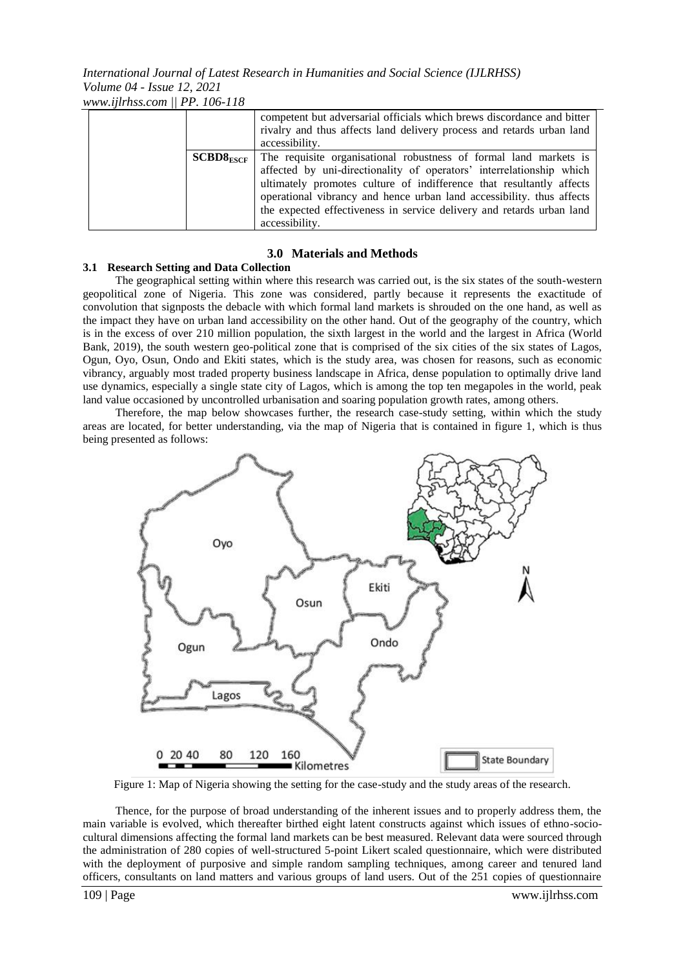*www.ijlrhss.com || PP. 106-118*

|                | competent but adversarial officials which brews discordance and bitter<br>rivalry and thus affects land delivery process and retards urban land<br>accessibility.                                                                                                                                                                                                                     |
|----------------|---------------------------------------------------------------------------------------------------------------------------------------------------------------------------------------------------------------------------------------------------------------------------------------------------------------------------------------------------------------------------------------|
| $SCBDS_{ESCF}$ | The requisite organisational robustness of formal land markets is<br>affected by uni-directionality of operators' interrelationship which<br>ultimately promotes culture of indifference that resultantly affects<br>operational vibrancy and hence urban land accessibility, thus affects<br>the expected effectiveness in service delivery and retards urban land<br>accessibility. |

#### **3.0 Materials and Methods**

#### **3.1 Research Setting and Data Collection**

The geographical setting within where this research was carried out, is the six states of the south-western geopolitical zone of Nigeria. This zone was considered, partly because it represents the exactitude of convolution that signposts the debacle with which formal land markets is shrouded on the one hand, as well as the impact they have on urban land accessibility on the other hand. Out of the geography of the country, which is in the excess of over 210 million population, the sixth largest in the world and the largest in Africa (World Bank, 2019), the south western geo-political zone that is comprised of the six cities of the six states of Lagos, Ogun, Oyo, Osun, Ondo and Ekiti states, which is the study area, was chosen for reasons, such as economic vibrancy, arguably most traded property business landscape in Africa, dense population to optimally drive land use dynamics, especially a single state city of Lagos, which is among the top ten megapoles in the world, peak land value occasioned by uncontrolled urbanisation and soaring population growth rates, among others.

Therefore, the map below showcases further, the research case-study setting, within which the study areas are located, for better understanding, via the map of Nigeria that is contained in figure 1, which is thus being presented as follows:



Figure 1: Map of Nigeria showing the setting for the case-study and the study areas of the research.

Thence, for the purpose of broad understanding of the inherent issues and to properly address them, the main variable is evolved, which thereafter birthed eight latent constructs against which issues of ethno-sociocultural dimensions affecting the formal land markets can be best measured. Relevant data were sourced through the administration of 280 copies of well-structured 5-point Likert scaled questionnaire, which were distributed with the deployment of purposive and simple random sampling techniques, among career and tenured land officers, consultants on land matters and various groups of land users. Out of the 251 copies of questionnaire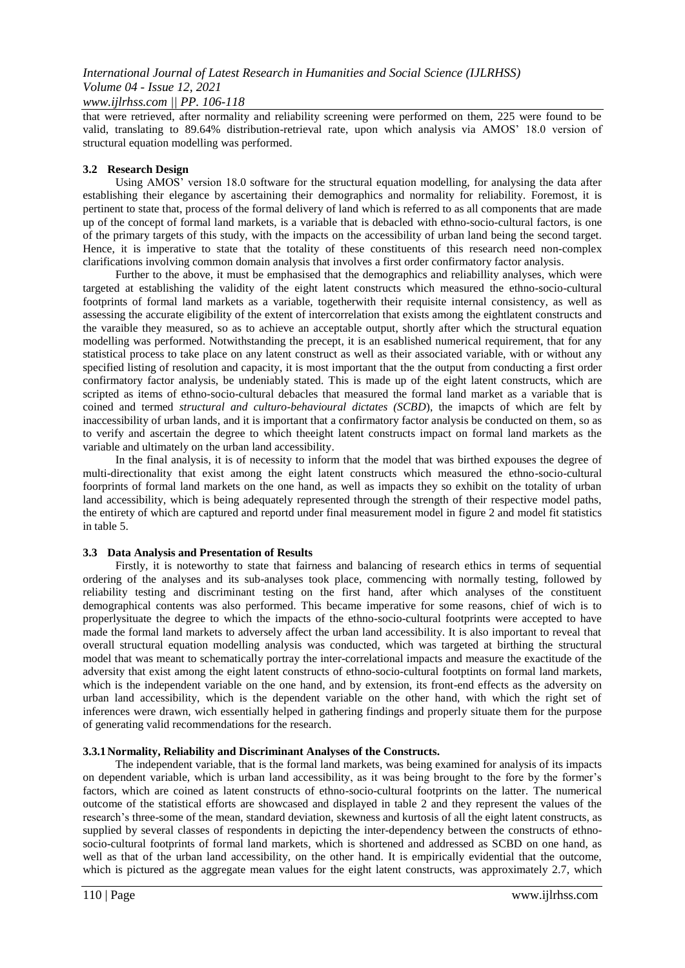*www.ijlrhss.com || PP. 106-118*

that were retrieved, after normality and reliability screening were performed on them, 225 were found to be valid, translating to 89.64% distribution-retrieval rate, upon which analysis via AMOS' 18.0 version of structural equation modelling was performed*.*

#### **3.2 Research Design**

Using AMOS' version 18.0 software for the structural equation modelling, for analysing the data after establishing their elegance by ascertaining their demographics and normality for reliability. Foremost, it is pertinent to state that, process of the formal delivery of land which is referred to as all components that are made up of the concept of formal land markets, is a variable that is debacled with ethno-socio-cultural factors, is one of the primary targets of this study, with the impacts on the accessibility of urban land being the second target. Hence, it is imperative to state that the totality of these constituents of this research need non-complex clarifications involving common domain analysis that involves a first order confirmatory factor analysis.

Further to the above, it must be emphasised that the demographics and reliabillity analyses, which were targeted at establishing the validity of the eight latent constructs which measured the ethno-socio-cultural footprints of formal land markets as a variable, togetherwith their requisite internal consistency, as well as assessing the accurate eligibility of the extent of intercorrelation that exists among the eightlatent constructs and the varaible they measured, so as to achieve an acceptable output, shortly after which the structural equation modelling was performed. Notwithstanding the precept, it is an esablished numerical requirement, that for any statistical process to take place on any latent construct as well as their associated variable, with or without any specified listing of resolution and capacity, it is most important that the the output from conducting a first order confirmatory factor analysis, be undeniably stated. This is made up of the eight latent constructs, which are scripted as items of ethno-socio-cultural debacles that measured the formal land market as a variable that is coined and termed *structural and culturo-behavioural dictates (SCBD*), the imapcts of which are felt by inaccessibility of urban lands, and it is important that a confirmatory factor analysis be conducted on them, so as to verify and ascertain the degree to which theeight latent constructs impact on formal land markets as the variable and ultimately on the urban land accessibility.

In the final analysis, it is of necessity to inform that the model that was birthed expouses the degree of multi-directionality that exist among the eight latent constructs which measured the ethno-socio-cultural foorprints of formal land markets on the one hand, as well as impacts they so exhibit on the totality of urban land accessibility, which is being adequately represented through the strength of their respective model paths, the entirety of which are captured and reportd under final measurement model in figure 2 and model fit statistics in table 5.

## **3.3 Data Analysis and Presentation of Results**

Firstly, it is noteworthy to state that fairness and balancing of research ethics in terms of sequential ordering of the analyses and its sub-analyses took place, commencing with normally testing, followed by reliability testing and discriminant testing on the first hand, after which analyses of the constituent demographical contents was also performed. This became imperative for some reasons, chief of wich is to properlysituate the degree to which the impacts of the ethno-socio-cultural footprints were accepted to have made the formal land markets to adversely affect the urban land accessibility. It is also important to reveal that overall structural equation modelling analysis was conducted, which was targeted at birthing the structural model that was meant to schematically portray the inter-correlational impacts and measure the exactitude of the adversity that exist among the eight latent constructs of ethno-socio-cultural footptints on formal land markets, which is the independent variable on the one hand, and by extension, its front-end effects as the adversity on urban land accessibility, which is the dependent variable on the other hand, with which the right set of inferences were drawn, wich essentially helped in gathering findings and properly situate them for the purpose of generating valid recommendations for the research.

#### **3.3.1Normality, Reliability and Discriminant Analyses of the Constructs.**

The independent variable, that is the formal land markets, was being examined for analysis of its impacts on dependent variable, which is urban land accessibility, as it was being brought to the fore by the former's factors, which are coined as latent constructs of ethno-socio-cultural footprints on the latter. The numerical outcome of the statistical efforts are showcased and displayed in table 2 and they represent the values of the research's three-some of the mean, standard deviation, skewness and kurtosis of all the eight latent constructs, as supplied by several classes of respondents in depicting the inter-dependency between the constructs of ethnosocio-cultural footprints of formal land markets, which is shortened and addressed as SCBD on one hand, as well as that of the urban land accessibility, on the other hand. It is empirically evidential that the outcome, which is pictured as the aggregate mean values for the eight latent constructs, was approximately 2.7, which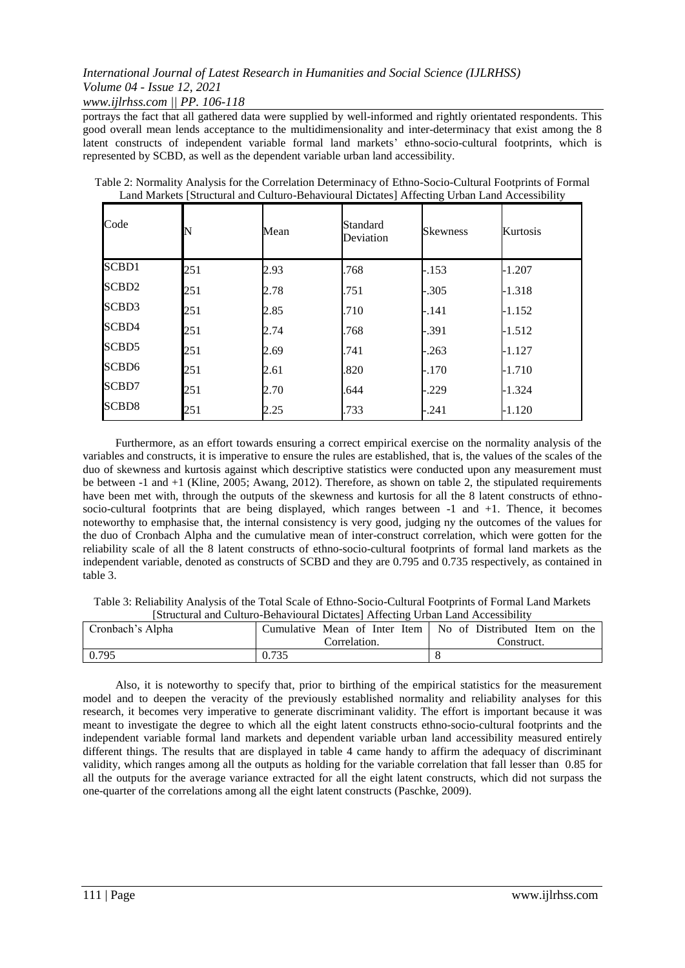*www.ijlrhss.com || PP. 106-118*

portrays the fact that all gathered data were supplied by well-informed and rightly orientated respondents. This good overall mean lends acceptance to the multidimensionality and inter-determinacy that exist among the 8 latent constructs of independent variable formal land markets' ethno-socio-cultural footprints, which is represented by SCBD, as well as the dependent variable urban land accessibility.

| Code         | N   | Mean | Standard<br>Deviation | <b>Skewness</b> | Kurtosis |
|--------------|-----|------|-----------------------|-----------------|----------|
| SCBD1        | 251 | 2.93 | .768                  | $-.153$         | $-1.207$ |
| SCBD2        | 251 | 2.78 | .751                  | $-.305$         | $-1.318$ |
| SCBD3        | 251 | 2.85 | .710                  | $-.141$         | $-1.152$ |
| SCBD4        | 251 | 2.74 | .768                  | -.391           | $-1.512$ |
| SCBD5        | 251 | 2.69 | .741                  | $-.263$         | $-1.127$ |
| SCBD6        | 251 | 2.61 | .820                  | $-.170$         | -1.710   |
| SCBD7        | 251 | 2.70 | .644                  | $-.229$         | $-1.324$ |
| <b>SCBD8</b> | 251 | 2.25 | .733                  | -.241           | $-1.120$ |

Table 2: Normality Analysis for the Correlation Determinacy of Ethno-Socio-Cultural Footprints of Formal Land Markets [Structural and Culturo-Behavioural Dictates] Affecting Urban Land Accessibility

Furthermore, as an effort towards ensuring a correct empirical exercise on the normality analysis of the variables and constructs, it is imperative to ensure the rules are established, that is, the values of the scales of the duo of skewness and kurtosis against which descriptive statistics were conducted upon any measurement must be between -1 and +1 (Kline, 2005; Awang, 2012). Therefore, as shown on table 2, the stipulated requirements have been met with, through the outputs of the skewness and kurtosis for all the 8 latent constructs of ethnosocio-cultural footprints that are being displayed, which ranges between -1 and +1. Thence, it becomes noteworthy to emphasise that, the internal consistency is very good, judging ny the outcomes of the values for the duo of Cronbach Alpha and the cumulative mean of inter-construct correlation, which were gotten for the reliability scale of all the 8 latent constructs of ethno-socio-cultural footprints of formal land markets as the independent variable, denoted as constructs of SCBD and they are 0.795 and 0.735 respectively, as contained in table 3.

Table 3: Reliability Analysis of the Total Scale of Ethno-Socio-Cultural Footprints of Formal Land Markets [Structural and Culturo-Behavioural Dictates] Affecting Urban Land Accessibility

| TSuuctulai alla Caltalo Dellavioalai Dictates   TYHItetilig Olbali Land Tyeeessibility |                                                               |            |  |  |  |  |  |  |  |  |  |
|----------------------------------------------------------------------------------------|---------------------------------------------------------------|------------|--|--|--|--|--|--|--|--|--|
| Cronbach's Alpha                                                                       | Cumulative Mean of Inter Item   No of Distributed Item on the |            |  |  |  |  |  |  |  |  |  |
|                                                                                        | Correlation.                                                  | Construct. |  |  |  |  |  |  |  |  |  |
| 0.795                                                                                  | 0.735                                                         |            |  |  |  |  |  |  |  |  |  |

Also, it is noteworthy to specify that, prior to birthing of the empirical statistics for the measurement model and to deepen the veracity of the previously established normality and reliability analyses for this research, it becomes very imperative to generate discriminant validity. The effort is important because it was meant to investigate the degree to which all the eight latent constructs ethno-socio-cultural footprints and the independent variable formal land markets and dependent variable urban land accessibility measured entirely different things. The results that are displayed in table 4 came handy to affirm the adequacy of discriminant validity, which ranges among all the outputs as holding for the variable correlation that fall lesser than 0.85 for all the outputs for the average variance extracted for all the eight latent constructs, which did not surpass the one-quarter of the correlations among all the eight latent constructs (Paschke, 2009).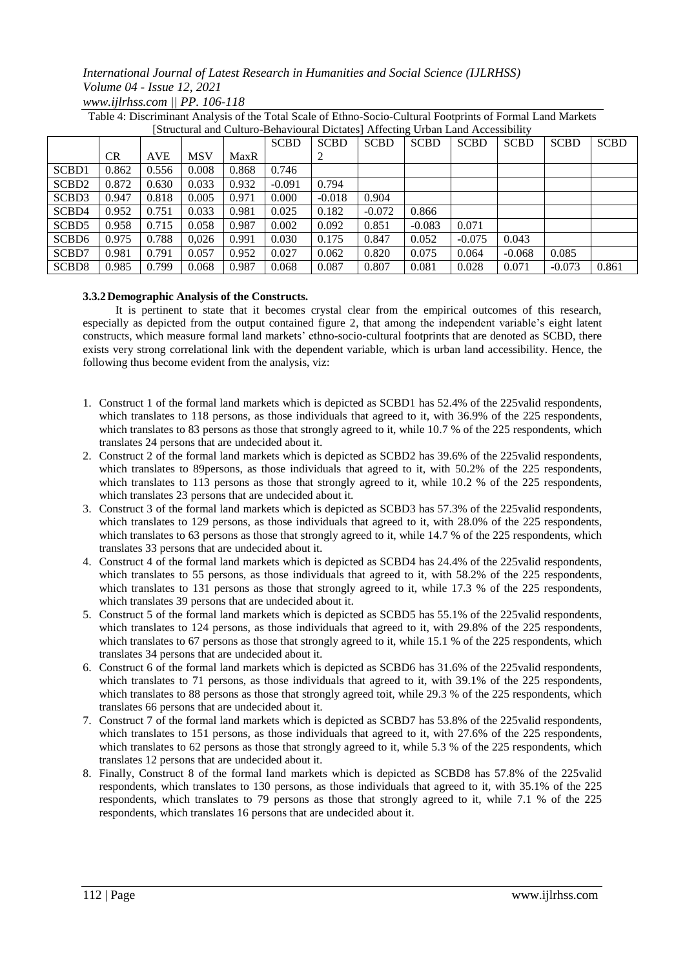## *International Journal of Latest Research in Humanities and Social Science (IJLRHSS) Volume 04 - Issue 12, 2021 www.ijlrhss.com || PP. 106-118*

| [Structural and Culturo-Behavioural Dictates] Affecting Urban Land Accessibility |           |            |            |       |             |             |             |             |             |             |             |             |
|----------------------------------------------------------------------------------|-----------|------------|------------|-------|-------------|-------------|-------------|-------------|-------------|-------------|-------------|-------------|
|                                                                                  |           |            |            |       | <b>SCBD</b> | <b>SCBD</b> | <b>SCBD</b> | <b>SCBD</b> | <b>SCBD</b> | <b>SCBD</b> | <b>SCBD</b> | <b>SCBD</b> |
|                                                                                  | <b>CR</b> | <b>AVE</b> | <b>MSV</b> | MaxR  |             | 2           |             |             |             |             |             |             |
| SCB <sub>D1</sub>                                                                | 0.862     | 0.556      | 0.008      | 0.868 | 0.746       |             |             |             |             |             |             |             |
| SCB <sub>D2</sub>                                                                | 0.872     | 0.630      | 0.033      | 0.932 | $-0.091$    | 0.794       |             |             |             |             |             |             |
| SCBD <sub>3</sub>                                                                | 0.947     | 0.818      | 0.005      | 0.971 | 0.000       | $-0.018$    | 0.904       |             |             |             |             |             |
| SCBD4                                                                            | 0.952     | 0.751      | 0.033      | 0.981 | 0.025       | 0.182       | $-0.072$    | 0.866       |             |             |             |             |
| SCBD <sub>5</sub>                                                                | 0.958     | 0.715      | 0.058      | 0.987 | 0.002       | 0.092       | 0.851       | $-0.083$    | 0.071       |             |             |             |
| SCBD <sub>6</sub>                                                                | 0.975     | 0.788      | 0.026      | 0.991 | 0.030       | 0.175       | 0.847       | 0.052       | $-0.075$    | 0.043       |             |             |
| SCBD7                                                                            | 0.981     | 0.791      | 0.057      | 0.952 | 0.027       | 0.062       | 0.820       | 0.075       | 0.064       | $-0.068$    | 0.085       |             |
| SCBD <sub>8</sub>                                                                | 0.985     | 0.799      | 0.068      | 0.987 | 0.068       | 0.087       | 0.807       | 0.081       | 0.028       | 0.071       | $-0.073$    | 0.861       |

Table 4: Discriminant Analysis of the Total Scale of Ethno-Socio-Cultural Footprints of Formal Land Markets

## **3.3.2Demographic Analysis of the Constructs.**

It is pertinent to state that it becomes crystal clear from the empirical outcomes of this research, especially as depicted from the output contained figure 2, that among the independent variable's eight latent constructs, which measure formal land markets' ethno-socio-cultural footprints that are denoted as SCBD, there exists very strong correlational link with the dependent variable, which is urban land accessibility. Hence, the following thus become evident from the analysis, viz:

- 1. Construct 1 of the formal land markets which is depicted as SCBD1 has 52.4% of the 225valid respondents, which translates to 118 persons, as those individuals that agreed to it, with 36.9% of the 225 respondents, which translates to 83 persons as those that strongly agreed to it, while 10.7 % of the 225 respondents, which translates 24 persons that are undecided about it.
- 2. Construct 2 of the formal land markets which is depicted as SCBD2 has 39.6% of the 225valid respondents, which translates to 89persons, as those individuals that agreed to it, with 50.2% of the 225 respondents, which translates to 113 persons as those that strongly agreed to it, while 10.2 % of the 225 respondents, which translates 23 persons that are undecided about it.
- 3. Construct 3 of the formal land markets which is depicted as SCBD3 has 57.3% of the 225valid respondents, which translates to 129 persons, as those individuals that agreed to it, with 28.0% of the 225 respondents, which translates to 63 persons as those that strongly agreed to it, while 14.7 % of the 225 respondents, which translates 33 persons that are undecided about it.
- 4. Construct 4 of the formal land markets which is depicted as SCBD4 has 24.4% of the 225valid respondents, which translates to 55 persons, as those individuals that agreed to it, with 58.2% of the 225 respondents, which translates to 131 persons as those that strongly agreed to it, while 17.3 % of the 225 respondents, which translates 39 persons that are undecided about it.
- 5. Construct 5 of the formal land markets which is depicted as SCBD5 has 55.1% of the 225valid respondents, which translates to 124 persons, as those individuals that agreed to it, with 29.8% of the 225 respondents, which translates to 67 persons as those that strongly agreed to it, while 15.1 % of the 225 respondents, which translates 34 persons that are undecided about it.
- 6. Construct 6 of the formal land markets which is depicted as SCBD6 has 31.6% of the 225valid respondents, which translates to 71 persons, as those individuals that agreed to it, with 39.1% of the 225 respondents, which translates to 88 persons as those that strongly agreed toit, while 29.3 % of the 225 respondents, which translates 66 persons that are undecided about it.
- 7. Construct 7 of the formal land markets which is depicted as SCBD7 has 53.8% of the 225valid respondents, which translates to 151 persons, as those individuals that agreed to it, with 27.6% of the 225 respondents, which translates to 62 persons as those that strongly agreed to it, while 5.3 % of the 225 respondents, which translates 12 persons that are undecided about it.
- 8. Finally, Construct 8 of the formal land markets which is depicted as SCBD8 has 57.8% of the 225valid respondents, which translates to 130 persons, as those individuals that agreed to it, with 35.1% of the 225 respondents, which translates to 79 persons as those that strongly agreed to it, while 7.1 % of the 225 respondents, which translates 16 persons that are undecided about it.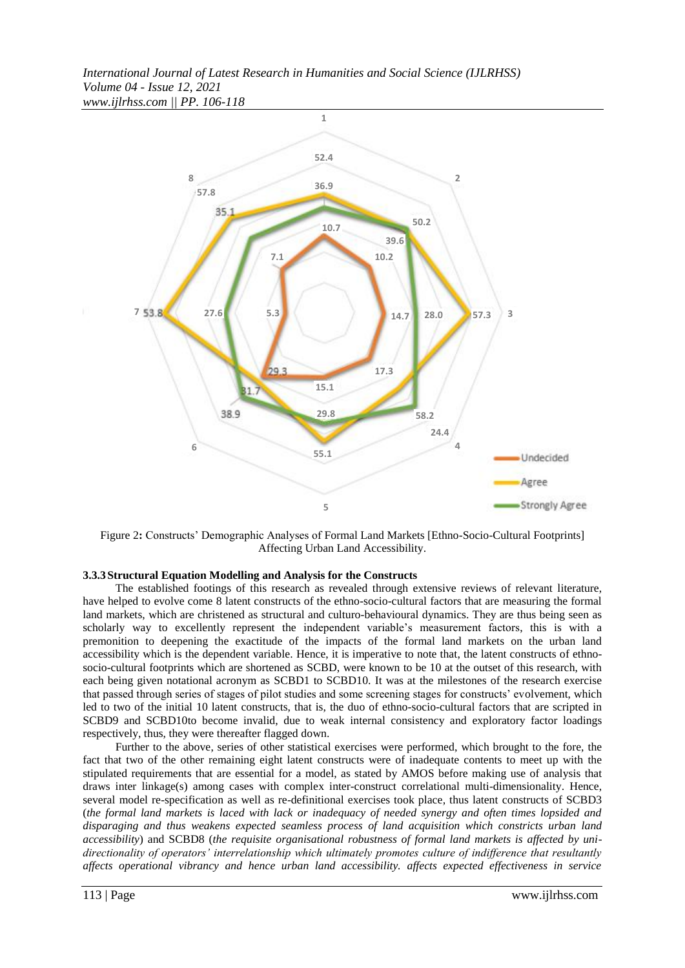*International Journal of Latest Research in Humanities and Social Science (IJLRHSS) Volume 04 - Issue 12, 2021 www.ijlrhss.com || PP. 106-118*



Figure 2**:** Constructs' Demographic Analyses of Formal Land Markets [Ethno-Socio-Cultural Footprints] Affecting Urban Land Accessibility.

#### **3.3.3Structural Equation Modelling and Analysis for the Constructs**

The established footings of this research as revealed through extensive reviews of relevant literature, have helped to evolve come 8 latent constructs of the ethno-socio-cultural factors that are measuring the formal land markets, which are christened as structural and culturo-behavioural dynamics. They are thus being seen as scholarly way to excellently represent the independent variable's measurement factors, this is with a premonition to deepening the exactitude of the impacts of the formal land markets on the urban land accessibility which is the dependent variable. Hence, it is imperative to note that, the latent constructs of ethnosocio-cultural footprints which are shortened as SCBD, were known to be 10 at the outset of this research, with each being given notational acronym as SCBD1 to SCBD10. It was at the milestones of the research exercise that passed through series of stages of pilot studies and some screening stages for constructs' evolvement, which led to two of the initial 10 latent constructs, that is, the duo of ethno-socio-cultural factors that are scripted in SCBD9 and SCBD10to become invalid, due to weak internal consistency and exploratory factor loadings respectively, thus, they were thereafter flagged down.

Further to the above, series of other statistical exercises were performed, which brought to the fore, the fact that two of the other remaining eight latent constructs were of inadequate contents to meet up with the stipulated requirements that are essential for a model, as stated by AMOS before making use of analysis that draws inter linkage(s) among cases with complex inter-construct correlational multi-dimensionality. Hence, several model re-specification as well as re-definitional exercises took place, thus latent constructs of SCBD3 (*the formal land markets is laced with lack or inadequacy of needed synergy and often times lopsided and disparaging and thus weakens expected seamless process of land acquisition which constricts urban land accessibility*) and SCBD8 (*the requisite organisational robustness of formal land markets is affected by unidirectionality of operators' interrelationship which ultimately promotes culture of indifference that resultantly affects operational vibrancy and hence urban land accessibility. affects expected effectiveness in service*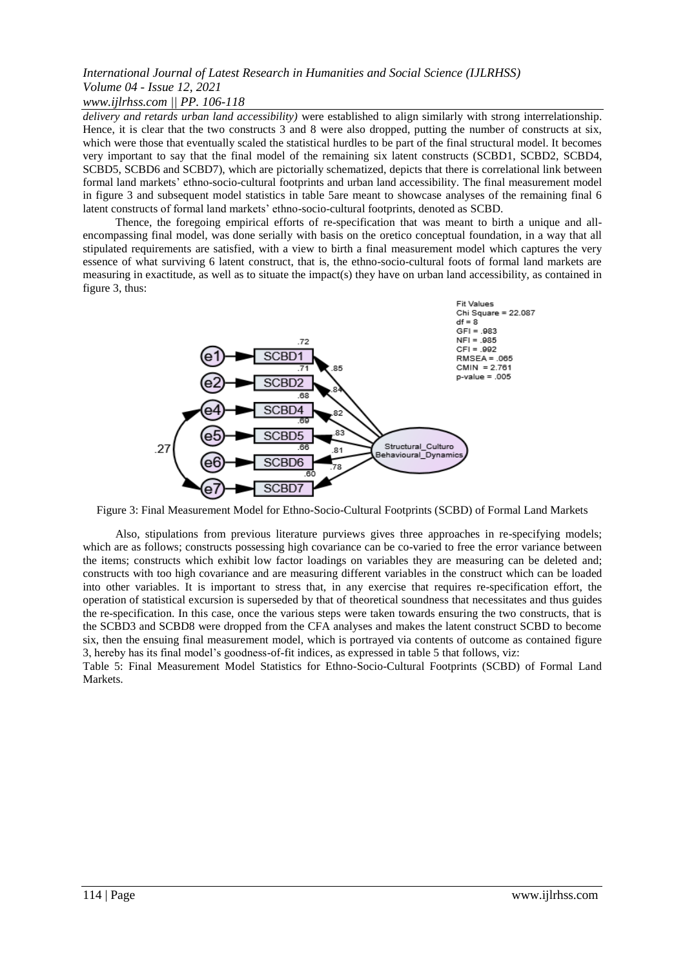## *www.ijlrhss.com || PP. 106-118*

*delivery and retards urban land accessibility)* were established to align similarly with strong interrelationship. Hence, it is clear that the two constructs 3 and 8 were also dropped, putting the number of constructs at six, which were those that eventually scaled the statistical hurdles to be part of the final structural model. It becomes very important to say that the final model of the remaining six latent constructs (SCBD1, SCBD2, SCBD4, SCBD5, SCBD6 and SCBD7), which are pictorially schematized, depicts that there is correlational link between formal land markets' ethno-socio-cultural footprints and urban land accessibility. The final measurement model in figure 3 and subsequent model statistics in table 5are meant to showcase analyses of the remaining final 6 latent constructs of formal land markets' ethno-socio-cultural footprints, denoted as SCBD.

Thence, the foregoing empirical efforts of re-specification that was meant to birth a unique and allencompassing final model, was done serially with basis on the oretico conceptual foundation, in a way that all stipulated requirements are satisfied, with a view to birth a final measurement model which captures the very essence of what surviving 6 latent construct, that is, the ethno-socio-cultural foots of formal land markets are measuring in exactitude, as well as to situate the impact(s) they have on urban land accessibility, as contained in figure 3, thus:



Figure 3: Final Measurement Model for Ethno-Socio-Cultural Footprints (SCBD) of Formal Land Markets

Also, stipulations from previous literature purviews gives three approaches in re-specifying models; which are as follows; constructs possessing high covariance can be co-varied to free the error variance between the items; constructs which exhibit low factor loadings on variables they are measuring can be deleted and; constructs with too high covariance and are measuring different variables in the construct which can be loaded into other variables. It is important to stress that, in any exercise that requires re-specification effort, the operation of statistical excursion is superseded by that of theoretical soundness that necessitates and thus guides the re-specification. In this case, once the various steps were taken towards ensuring the two constructs, that is the SCBD3 and SCBD8 were dropped from the CFA analyses and makes the latent construct SCBD to become six, then the ensuing final measurement model, which is portrayed via contents of outcome as contained figure 3, hereby has its final model's goodness-of-fit indices, as expressed in table 5 that follows, viz:

Table 5: Final Measurement Model Statistics for Ethno-Socio-Cultural Footprints (SCBD) of Formal Land Markets.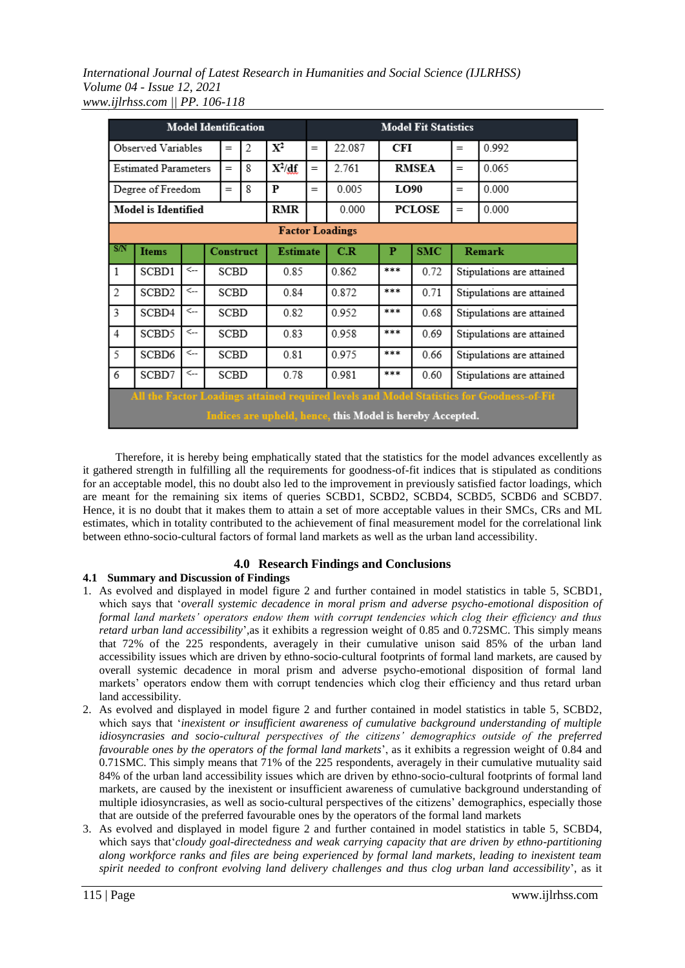*International Journal of Latest Research in Humanities and Social Science (IJLRHSS) Volume 04 - Issue 12, 2021 www.ijlrhss.com || PP. 106-118*

| <b>Model Identification</b>                               |                                                                                           |              |  |      |                  |                 |     | <b>Model Fit Statistics</b> |            |               |                           |                           |  |
|-----------------------------------------------------------|-------------------------------------------------------------------------------------------|--------------|--|------|------------------|-----------------|-----|-----------------------------|------------|---------------|---------------------------|---------------------------|--|
|                                                           | Observed Variables                                                                        |              |  | $=$  | 2                | $\mathbf{X}^2$  | $=$ | 22.087                      | <b>CFI</b> |               | $=$                       | 0.992                     |  |
|                                                           | <b>Estimated Parameters</b>                                                               |              |  | $=$  | 8                | $X^2/df$        | $=$ | 2.761                       |            | <b>RMSEA</b>  | 0.065<br>$=$              |                           |  |
|                                                           | Degree of Freedom                                                                         |              |  | $=$  | 8                | P               | $=$ | 0.005                       | LO90       | 0.000         |                           |                           |  |
|                                                           | Model is Identified                                                                       |              |  |      |                  | RMR             |     | 0.000                       |            | <b>PCLOSE</b> | $=$                       | 0.000                     |  |
|                                                           | <b>Factor Loadings</b>                                                                    |              |  |      |                  |                 |     |                             |            |               |                           |                           |  |
| S/N                                                       | <b>Items</b>                                                                              |              |  |      | <b>Construct</b> | <b>Estimate</b> |     | C.R                         | P          | <b>SMC</b>    | Remark                    |                           |  |
| 1                                                         | SCBD1                                                                                     | <            |  | SCBD |                  | 0.85            |     | 0.862                       | ***        | 0.72          | Stipulations are attained |                           |  |
| $\mathfrak{2}$                                            | SCBD <sub>2</sub>                                                                         | $\leftarrow$ |  | SCBD |                  | 0.84            |     | 0.872                       | 宮宮宮        | 0.71          | Stipulations are attained |                           |  |
| 3                                                         | SCBD4                                                                                     | <            |  | SCBD |                  | 0.82            |     | 0.952                       | ***        | 0.68          |                           | Stipulations are attained |  |
| $\overline{4}$                                            | SCBD5                                                                                     | $\leftarrow$ |  | SCBD |                  | 0.83            |     | 0.958                       | ***        | 0.69          |                           | Stipulations are attained |  |
| 5                                                         | SCBD <sub>6</sub>                                                                         | $\leftarrow$ |  | SCBD |                  | 0.81            |     | 0.975                       | ***        | 0.66          | Stipulations are attained |                           |  |
| 6                                                         | SCBD7                                                                                     | <            |  | SCBD |                  | 0.78            |     | 0.981                       | ***        | 0.60          |                           | Stipulations are attained |  |
|                                                           | All the Factor Loadings attained required levels and Model Statistics for Goodness-of-Fit |              |  |      |                  |                 |     |                             |            |               |                           |                           |  |
| Indices are upheld, hence, this Model is hereby Accepted. |                                                                                           |              |  |      |                  |                 |     |                             |            |               |                           |                           |  |

Therefore, it is hereby being emphatically stated that the statistics for the model advances excellently as it gathered strength in fulfilling all the requirements for goodness-of-fit indices that is stipulated as conditions for an acceptable model, this no doubt also led to the improvement in previously satisfied factor loadings, which are meant for the remaining six items of queries SCBD1, SCBD2, SCBD4, SCBD5, SCBD6 and SCBD7. Hence, it is no doubt that it makes them to attain a set of more acceptable values in their SMCs, CRs and ML estimates, which in totality contributed to the achievement of final measurement model for the correlational link between ethno-socio-cultural factors of formal land markets as well as the urban land accessibility.

## **4.0 Research Findings and Conclusions**

## **4.1 Summary and Discussion of Findings**

- 1. As evolved and displayed in model figure 2 and further contained in model statistics in table 5, SCBD1, which says that '*overall systemic decadence in moral prism and adverse psycho-emotional disposition of formal land markets' operators endow them with corrupt tendencies which clog their efficiency and thus retard urban land accessibility*',as it exhibits a regression weight of 0.85 and 0.72SMC. This simply means that 72% of the 225 respondents, averagely in their cumulative unison said 85% of the urban land accessibility issues which are driven by ethno-socio-cultural footprints of formal land markets, are caused by overall systemic decadence in moral prism and adverse psycho-emotional disposition of formal land markets' operators endow them with corrupt tendencies which clog their efficiency and thus retard urban land accessibility.
- 2. As evolved and displayed in model figure 2 and further contained in model statistics in table 5, SCBD2, which says that '*inexistent or insufficient awareness of cumulative background understanding of multiple idiosyncrasies and socio-cultural perspectives of the citizens' demographics outside of the preferred favourable ones by the operators of the formal land markets*', as it exhibits a regression weight of 0.84 and 0.71SMC. This simply means that 71% of the 225 respondents, averagely in their cumulative mutuality said 84% of the urban land accessibility issues which are driven by ethno-socio-cultural footprints of formal land markets, are caused by the inexistent or insufficient awareness of cumulative background understanding of multiple idiosyncrasies, as well as socio-cultural perspectives of the citizens' demographics, especially those that are outside of the preferred favourable ones by the operators of the formal land markets
- 3. As evolved and displayed in model figure 2 and further contained in model statistics in table 5, SCBD4, which says that'*cloudy goal-directedness and weak carrying capacity that are driven by ethno-partitioning along workforce ranks and files are being experienced by formal land markets, leading to inexistent team spirit needed to confront evolving land delivery challenges and thus clog urban land accessibility*', as it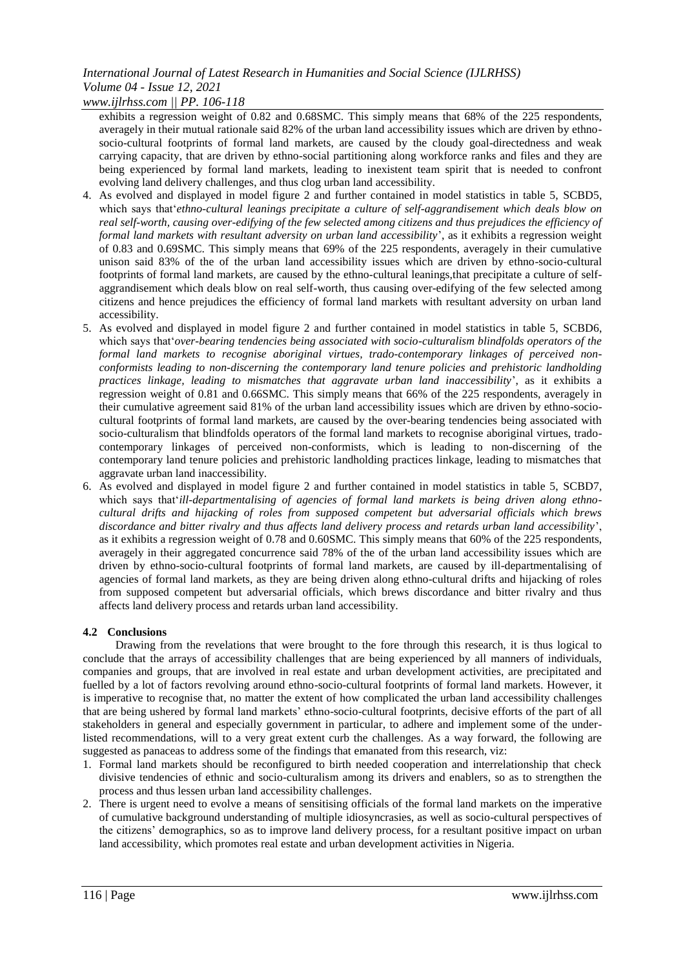*www.ijlrhss.com || PP. 106-118*

exhibits a regression weight of 0.82 and 0.68SMC. This simply means that 68% of the 225 respondents, averagely in their mutual rationale said 82% of the urban land accessibility issues which are driven by ethnosocio-cultural footprints of formal land markets, are caused by the cloudy goal-directedness and weak carrying capacity, that are driven by ethno-social partitioning along workforce ranks and files and they are being experienced by formal land markets, leading to inexistent team spirit that is needed to confront evolving land delivery challenges, and thus clog urban land accessibility.

- 4. As evolved and displayed in model figure 2 and further contained in model statistics in table 5, SCBD5, which says that'*ethno-cultural leanings precipitate a culture of self-aggrandisement which deals blow on*  real self-worth, causing over-edifying of the few selected among citizens and thus prejudices the efficiency of *formal land markets with resultant adversity on urban land accessibility*', as it exhibits a regression weight of 0.83 and 0.69SMC. This simply means that 69% of the 225 respondents, averagely in their cumulative unison said 83% of the of the urban land accessibility issues which are driven by ethno-socio-cultural footprints of formal land markets, are caused by the ethno-cultural leanings,that precipitate a culture of selfaggrandisement which deals blow on real self-worth, thus causing over-edifying of the few selected among citizens and hence prejudices the efficiency of formal land markets with resultant adversity on urban land accessibility.
- 5. As evolved and displayed in model figure 2 and further contained in model statistics in table 5, SCBD6, which says that'*over-bearing tendencies being associated with socio-culturalism blindfolds operators of the formal land markets to recognise aboriginal virtues, trado-contemporary linkages of perceived nonconformists leading to non-discerning the contemporary land tenure policies and prehistoric landholding practices linkage, leading to mismatches that aggravate urban land inaccessibility*', as it exhibits a regression weight of 0.81 and 0.66SMC. This simply means that 66% of the 225 respondents, averagely in their cumulative agreement said 81% of the urban land accessibility issues which are driven by ethno-sociocultural footprints of formal land markets, are caused by the over-bearing tendencies being associated with socio-culturalism that blindfolds operators of the formal land markets to recognise aboriginal virtues, tradocontemporary linkages of perceived non-conformists, which is leading to non-discerning of the contemporary land tenure policies and prehistoric landholding practices linkage, leading to mismatches that aggravate urban land inaccessibility.
- 6. As evolved and displayed in model figure 2 and further contained in model statistics in table 5, SCBD7, which says that'*ill-departmentalising of agencies of formal land markets is being driven along ethnocultural drifts and hijacking of roles from supposed competent but adversarial officials which brews discordance and bitter rivalry and thus affects land delivery process and retards urban land accessibility*', as it exhibits a regression weight of 0.78 and 0.60SMC. This simply means that 60% of the 225 respondents, averagely in their aggregated concurrence said 78% of the of the urban land accessibility issues which are driven by ethno-socio-cultural footprints of formal land markets, are caused by ill-departmentalising of agencies of formal land markets, as they are being driven along ethno-cultural drifts and hijacking of roles from supposed competent but adversarial officials, which brews discordance and bitter rivalry and thus affects land delivery process and retards urban land accessibility.

## **4.2 Conclusions**

Drawing from the revelations that were brought to the fore through this research, it is thus logical to conclude that the arrays of accessibility challenges that are being experienced by all manners of individuals, companies and groups, that are involved in real estate and urban development activities, are precipitated and fuelled by a lot of factors revolving around ethno-socio-cultural footprints of formal land markets. However, it is imperative to recognise that, no matter the extent of how complicated the urban land accessibility challenges that are being ushered by formal land markets' ethno-socio-cultural footprints, decisive efforts of the part of all stakeholders in general and especially government in particular, to adhere and implement some of the underlisted recommendations, will to a very great extent curb the challenges. As a way forward, the following are suggested as panaceas to address some of the findings that emanated from this research, viz:

- 1. Formal land markets should be reconfigured to birth needed cooperation and interrelationship that check divisive tendencies of ethnic and socio-culturalism among its drivers and enablers, so as to strengthen the process and thus lessen urban land accessibility challenges.
- 2. There is urgent need to evolve a means of sensitising officials of the formal land markets on the imperative of cumulative background understanding of multiple idiosyncrasies, as well as socio-cultural perspectives of the citizens' demographics, so as to improve land delivery process, for a resultant positive impact on urban land accessibility, which promotes real estate and urban development activities in Nigeria.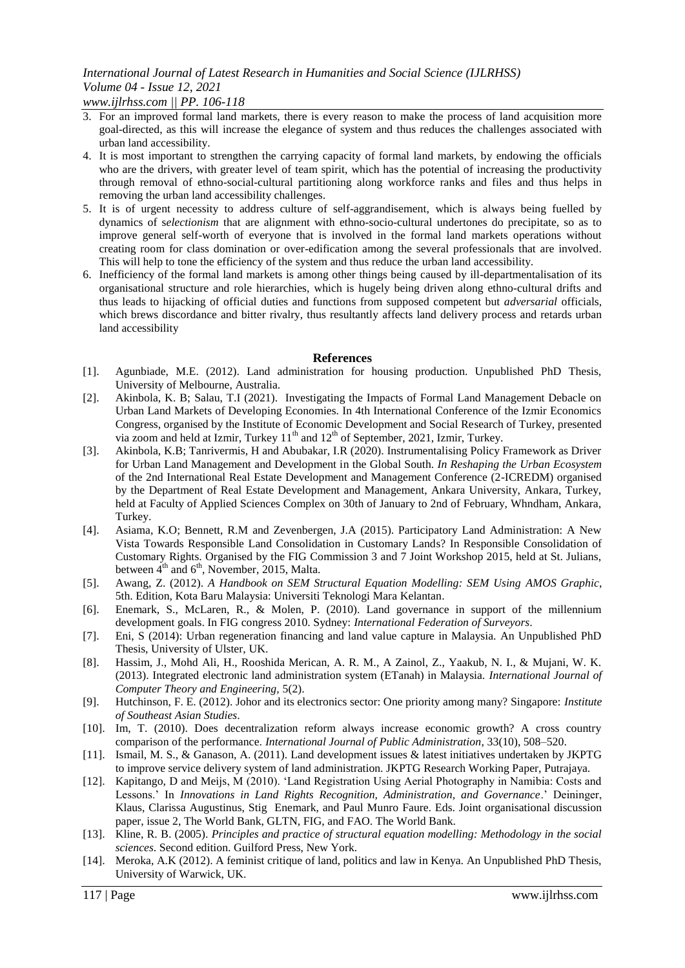*www.ijlrhss.com || PP. 106-118*

- 3. For an improved formal land markets, there is every reason to make the process of land acquisition more goal-directed, as this will increase the elegance of system and thus reduces the challenges associated with urban land accessibility.
- 4. It is most important to strengthen the carrying capacity of formal land markets, by endowing the officials who are the drivers, with greater level of team spirit, which has the potential of increasing the productivity through removal of ethno-social-cultural partitioning along workforce ranks and files and thus helps in removing the urban land accessibility challenges.
- 5. It is of urgent necessity to address culture of self-aggrandisement, which is always being fuelled by dynamics of s*electionism* that are alignment with ethno-socio-cultural undertones do precipitate, so as to improve general self-worth of everyone that is involved in the formal land markets operations without creating room for class domination or over-edification among the several professionals that are involved. This will help to tone the efficiency of the system and thus reduce the urban land accessibility.
- 6. Inefficiency of the formal land markets is among other things being caused by ill-departmentalisation of its organisational structure and role hierarchies, which is hugely being driven along ethno-cultural drifts and thus leads to hijacking of official duties and functions from supposed competent but *adversarial* officials, which brews discordance and bitter rivalry, thus resultantly affects land delivery process and retards urban land accessibility

#### **References**

- [1]. Agunbiade, M.E. (2012). Land administration for housing production. Unpublished PhD Thesis, University of Melbourne, Australia.
- [2]. Akinbola, K. B; Salau, T.I (2021). Investigating the Impacts of Formal Land Management Debacle on Urban Land Markets of Developing Economies. In 4th International Conference of the Izmir Economics Congress, organised by the Institute of Economic Development and Social Research of Turkey, presented via zoom and held at Izmir, Turkey 11<sup>th</sup> and 12<sup>th</sup> of September, 2021, Izmir, Turkey.
- [3]. Akinbola, K.B; Tanrivermis, H and Abubakar, I.R (2020). Instrumentalising Policy Framework as Driver for Urban Land Management and Development in the Global South. *In Reshaping the Urban Ecosystem*  of the 2nd International Real Estate Development and Management Conference (2-ICREDM) organised by the Department of Real Estate Development and Management, Ankara University, Ankara, Turkey, held at Faculty of Applied Sciences Complex on 30th of January to 2nd of February, Whndham, Ankara, Turkey.
- [4]. Asiama, K.O; Bennett, R.M and Zevenbergen, J.A (2015). Participatory Land Administration: A New Vista Towards Responsible Land Consolidation in Customary Lands? In Responsible Consolidation of Customary Rights. Organised by the FIG Commission 3 and 7 Joint Workshop 2015, held at St. Julians, between  $4^{th}$  and  $6^{th}$ , November, 2015, Malta.
- [5]. Awang, Z. (2012). *A Handbook on SEM Structural Equation Modelling: SEM Using AMOS Graphic*, 5th. Edition, Kota Baru Malaysia: Universiti Teknologi Mara Kelantan.
- [6]. Enemark, S., McLaren, R., & Molen, P. (2010). Land governance in support of the millennium development goals. In FIG congress 2010. Sydney: *International Federation of Surveyors*.
- [7]. Eni, S (2014): Urban regeneration financing and land value capture in Malaysia. An Unpublished PhD Thesis, University of Ulster, UK.
- [8]. Hassim, J., Mohd Ali, H., Rooshida Merican, A. R. M., A Zainol, Z., Yaakub, N. I., & Mujani, W. K. (2013). Integrated electronic land administration system (ETanah) in Malaysia. *International Journal of Computer Theory and Engineering,* 5(2).
- [9]. Hutchinson, F. E. (2012). Johor and its electronics sector: One priority among many? Singapore: *Institute of Southeast Asian Studies*.
- [10]. Im, T. (2010). Does decentralization reform always increase economic growth? A cross country comparison of the performance. *International Journal of Public Administration*, 33(10), 508–520.
- [11]. Ismail, M. S., & Ganason, A. (2011). Land development issues & latest initiatives undertaken by JKPTG to improve service delivery system of land administration. JKPTG Research Working Paper, Putrajaya.
- [12]. Kapitango, D and Meijs, M (2010). 'Land Registration Using Aerial Photography in Namibia: Costs and Lessons.' In *Innovations in Land Rights Recognition, Administration, and Governance*.' Deininger, Klaus, Clarissa Augustinus, Stig Enemark, and Paul Munro Faure. Eds. Joint organisational discussion paper, issue 2, The World Bank, GLTN, FIG, and FAO. The World Bank.
- [13]. Kline, R. B. (2005). *Principles and practice of structural equation modelling: Methodology in the social sciences*. Second edition. Guilford Press, New York.
- [14]. Meroka, A.K (2012). A feminist critique of land, politics and law in Kenya. An Unpublished PhD Thesis, University of Warwick, UK.